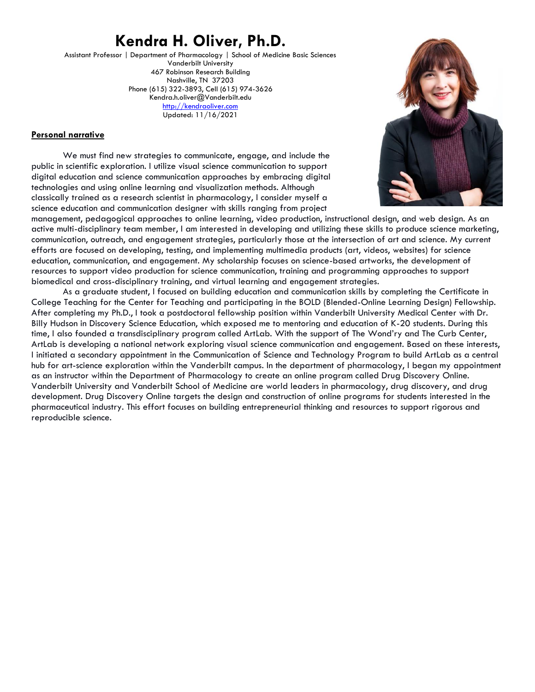# **Kendra H. Oliver, Ph.D.**

Assistant Professor | Department of Pharmacology | School of Medicine Basic Sciences Vanderbilt University 467 Robinson Research Building Nashville, TN 37203 Phone (615) 322-3893, Cell (615) 974-3626 Kendra.h.oliver@Vanderbilt.edu [http://kendraoliver.com](http://kendraoliver.com/) Updated: 11/16/2021



### **Personal narrative**

We must find new strategies to communicate, engage, and include the public in scientific exploration. I utilize visual science communication to support digital education and science communication approaches by embracing digital technologies and using online learning and visualization methods. Although classically trained as a research scientist in pharmacology, I consider myself a science education and communication designer with skills ranging from project

management, pedagogical approaches to online learning, video production, instructional design, and web design. As an active multi-disciplinary team member, I am interested in developing and utilizing these skills to produce science marketing, communication, outreach, and engagement strategies, particularly those at the intersection of art and science. My current efforts are focused on developing, testing, and implementing multimedia products (art, videos, websites) for science education, communication, and engagement. My scholarship focuses on science-based artworks, the development of resources to support video production for science communication, training and programming approaches to support biomedical and cross-disciplinary training, and virtual learning and engagement strategies.

As a graduate student, I focused on building education and communication skills by completing the Certificate in College Teaching for the Center for Teaching and participating in the BOLD (Blended-Online Learning Design) Fellowship. After completing my Ph.D., I took a postdoctoral fellowship position within Vanderbilt University Medical Center with Dr. Billy Hudson in Discovery Science Education, which exposed me to mentoring and education of K-20 students. During this time, I also founded a transdisciplinary program called ArtLab. With the support of The Wond'ry and The Curb Center, ArtLab is developing a national network exploring visual science communication and engagement. Based on these interests, I initiated a secondary appointment in the Communication of Science and Technology Program to build ArtLab as a central hub for art-science exploration within the Vanderbilt campus. In the department of pharmacology, I began my appointment as an instructor within the Department of Pharmacology to create an online program called Drug Discovery Online. Vanderbilt University and Vanderbilt School of Medicine are world leaders in pharmacology, drug discovery, and drug development. Drug Discovery Online targets the design and construction of online programs for students interested in the pharmaceutical industry. This effort focuses on building entrepreneurial thinking and resources to support rigorous and reproducible science.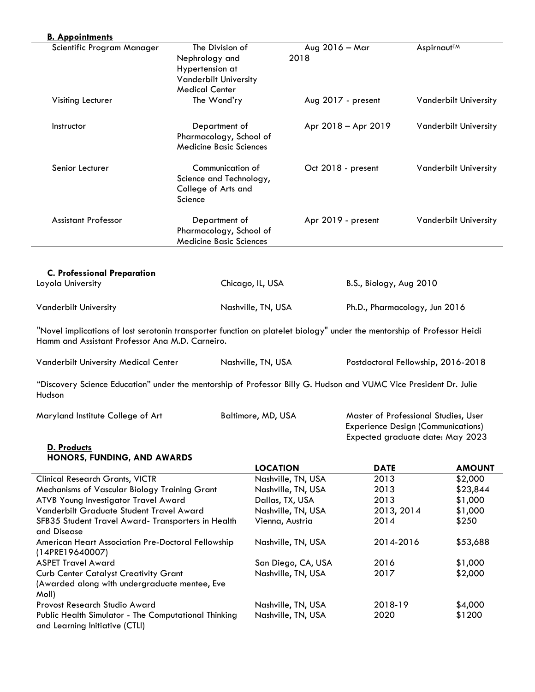| Scientific Program Manager                                                                                                                                                                                                                                                                                                                                                                                                                              | The Division of<br>Nephrology and<br>Hypertension at<br><b>Vanderbilt University</b><br><b>Medical Center</b> | 2018                                                                                                                    | Aug 2016 - Mar                | Aspirnaut <sup>™</sup>                                                                                                |
|---------------------------------------------------------------------------------------------------------------------------------------------------------------------------------------------------------------------------------------------------------------------------------------------------------------------------------------------------------------------------------------------------------------------------------------------------------|---------------------------------------------------------------------------------------------------------------|-------------------------------------------------------------------------------------------------------------------------|-------------------------------|-----------------------------------------------------------------------------------------------------------------------|
| Visiting Lecturer                                                                                                                                                                                                                                                                                                                                                                                                                                       | The Wond'ry                                                                                                   |                                                                                                                         | Aug 2017 - present            | <b>Vanderbilt University</b>                                                                                          |
| Instructor                                                                                                                                                                                                                                                                                                                                                                                                                                              | Department of<br>Pharmacology, School of<br><b>Medicine Basic Sciences</b>                                    |                                                                                                                         | Apr 2018 - Apr 2019           | <b>Vanderbilt University</b>                                                                                          |
| Senior Lecturer                                                                                                                                                                                                                                                                                                                                                                                                                                         | Communication of<br>Science and Technology,<br>College of Arts and<br>Science                                 |                                                                                                                         | Oct 2018 - present            | <b>Vanderbilt University</b>                                                                                          |
| <b>Assistant Professor</b>                                                                                                                                                                                                                                                                                                                                                                                                                              | Department of<br>Pharmacology, School of<br><b>Medicine Basic Sciences</b>                                    |                                                                                                                         | Apr 2019 - present            | <b>Vanderbilt University</b>                                                                                          |
| <b>C. Professional Preparation</b>                                                                                                                                                                                                                                                                                                                                                                                                                      |                                                                                                               |                                                                                                                         |                               |                                                                                                                       |
| Loyola University                                                                                                                                                                                                                                                                                                                                                                                                                                       |                                                                                                               | Chicago, IL, USA                                                                                                        | B.S., Biology, Aug 2010       |                                                                                                                       |
| <b>Vanderbilt University</b>                                                                                                                                                                                                                                                                                                                                                                                                                            |                                                                                                               | Nashville, TN, USA                                                                                                      | Ph.D., Pharmacology, Jun 2016 |                                                                                                                       |
|                                                                                                                                                                                                                                                                                                                                                                                                                                                         |                                                                                                               | "Novel implications of lost serotonin transporter function on platelet biology" under the mentorship of Professor Heidi |                               |                                                                                                                       |
|                                                                                                                                                                                                                                                                                                                                                                                                                                                         |                                                                                                               | Nashville, TN, USA                                                                                                      |                               | Postdoctoral Fellowship, 2016-2018                                                                                    |
|                                                                                                                                                                                                                                                                                                                                                                                                                                                         |                                                                                                               |                                                                                                                         |                               |                                                                                                                       |
| Hamm and Assistant Professor Ana M.D. Carneiro.<br><b>Vanderbilt University Medical Center</b><br>"Discovery Science Education" under the mentorship of Professor Billy G. Hudson and VUMC Vice President Dr. Julie<br>Hudson<br>Maryland Institute College of Art                                                                                                                                                                                      |                                                                                                               | Baltimore, MD, USA                                                                                                      |                               | Master of Professional Studies, User<br><b>Experience Design (Communications)</b><br>Expected graduate date: May 2023 |
| D. Products<br>HONORS, FUNDING, AND AWARDS                                                                                                                                                                                                                                                                                                                                                                                                              |                                                                                                               |                                                                                                                         |                               |                                                                                                                       |
|                                                                                                                                                                                                                                                                                                                                                                                                                                                         |                                                                                                               | <b>LOCATION</b>                                                                                                         | <b>DATE</b>                   | <b>AMOUNT</b>                                                                                                         |
|                                                                                                                                                                                                                                                                                                                                                                                                                                                         |                                                                                                               | Nashville, TN, USA                                                                                                      | 2013                          | \$2,000                                                                                                               |
|                                                                                                                                                                                                                                                                                                                                                                                                                                                         |                                                                                                               | Nashville, TN, USA                                                                                                      | 2013                          | \$23,844                                                                                                              |
|                                                                                                                                                                                                                                                                                                                                                                                                                                                         |                                                                                                               | Dallas, TX, USA                                                                                                         | 2013                          | \$1,000                                                                                                               |
|                                                                                                                                                                                                                                                                                                                                                                                                                                                         |                                                                                                               | Nashville, TN, USA                                                                                                      | 2013, 2014                    | \$1,000                                                                                                               |
|                                                                                                                                                                                                                                                                                                                                                                                                                                                         |                                                                                                               | Vienna, Austria                                                                                                         | 2014                          | \$250                                                                                                                 |
|                                                                                                                                                                                                                                                                                                                                                                                                                                                         |                                                                                                               | Nashville, TN, USA                                                                                                      | 2014-2016                     | \$53,688                                                                                                              |
|                                                                                                                                                                                                                                                                                                                                                                                                                                                         |                                                                                                               | San Diego, CA, USA                                                                                                      | 2016                          | \$1,000                                                                                                               |
| <b>Clinical Research Grants, VICTR</b><br>Mechanisms of Vascular Biology Training Grant<br>ATVB Young Investigator Travel Award<br>Vanderbilt Graduate Student Travel Award<br>SFB35 Student Travel Award- Transporters in Health<br>and Disease<br>American Heart Association Pre-Doctoral Fellowship<br>(14PRE19640007)<br><b>ASPET Travel Award</b><br><b>Curb Center Catalyst Creativity Grant</b><br>(Awarded along with undergraduate mentee, Eve |                                                                                                               | Nashville, TN, USA                                                                                                      | 2017                          | \$2,000                                                                                                               |
| Moll)<br>Provost Research Studio Award                                                                                                                                                                                                                                                                                                                                                                                                                  |                                                                                                               | Nashville, TN, USA                                                                                                      | 2018-19                       | \$4,000                                                                                                               |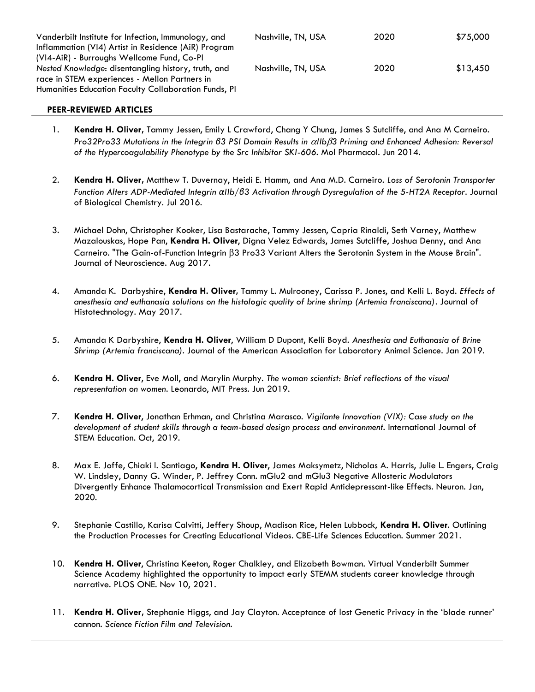| Vanderbilt Institute for Infection, Immunology, and<br>Inflammation (VI4) Artist in Residence (AiR) Program | Nashville, TN, USA | 2020 | \$75,000 |
|-------------------------------------------------------------------------------------------------------------|--------------------|------|----------|
| (VI4-AiR) - Burroughs Wellcome Fund, Co-PI                                                                  |                    | 2020 |          |
| Nested Knowledge: disentangling history, truth, and<br>race in STEM experiences - Mellon Partners in        | Nashville, TN, USA |      | \$13,450 |
| Humanities Education Faculty Collaboration Funds, PI                                                        |                    |      |          |

## **PEER-REVIEWED ARTICLES**

- 1. **Kendra H. Oliver,** Tammy Jessen, Emily L Crawford, Chang Y Chung, James S Sutcliffe, and Ana M Carneiro. *Pro32Pro33 Mutations in the Integrin β3 PSI Domain Results in IIb3 Priming and Enhanced Adhesion: Reversal of the Hypercoagulability Phenotype by the Src Inhibitor SKI-606.* Mol Pharmacol. Jun 2014.
- 2. **Kendra H. Oliver,** Matthew T. Duvernay, Heidi E. Hamm, and Ana M.D. Carneiro. *Loss of Serotonin Transporter Function Alters ADP-Mediated Integrin αIIb/β3 Activation through Dysregulation of the 5-HT2A Receptor.* Journal of Biological Chemistry. Jul 2016.
- 3. Michael Dohn, Christopher Kooker, Lisa Bastarache, Tammy Jessen, Capria Rinaldi, Seth Varney, Matthew Mazalouskas, Hope Pan, **Kendra H. Oliver**, Digna Velez Edwards, James Sutcliffe, Joshua Denny, and Ana Carneiro. "The Gain-of-Function Integrin  $\beta$ 3 Pro33 Variant Alters the Serotonin System in the Mouse Brain". Journal of Neuroscience. Aug 2017.
- 4. Amanda K. Darbyshire, **Kendra H. Oliver,** Tammy L. Mulrooney, Carissa P. Jones, and Kelli L. Boyd. *Effects of anesthesia and euthanasia solutions on the histologic quality of brine shrimp (Artemia franciscana)*. Journal of Histotechnology. May 2017.
- 5. Amanda K Darbyshire, **Kendra H. Oliver**, William D Dupont, Kelli Boyd. *Anesthesia and Euthanasia of Brine Shrimp (Artemia franciscana)*. Journal of the American Association for Laboratory Animal Science. Jan 2019.
- 6. **Kendra H. Oliver**, Eve Moll, and Marylin Murphy. *The woman scientist: Brief reflections of the visual representation on women*. Leonardo, MIT Press. Jun 2019.
- 7. **Kendra H. Oliver**, Jonathan Erhman, and Christina Marasco. *Vigilante Innovation (VIX): Case study on the development of student skills through a team-based design process and environment.* International Journal of STEM Education. Oct, 2019.
- 8. Max E. Joffe, Chiaki I. Santiago, **Kendra H. Oliver**, James Maksymetz, Nicholas A. Harris, Julie L. Engers, Craig W. Lindsley, Danny G. Winder, P. Jeffrey Conn. mGlu2 and mGlu3 Negative Allosteric Modulators Divergently Enhance Thalamocortical Transmission and Exert Rapid Antidepressant-like Effects. Neuron. Jan, 2020.
- 9. Stephanie Castillo, Karisa Calvitti, Jeffery Shoup, Madison Rice, Helen Lubbock, **Kendra H. Oliver**. Outlining the Production Processes for Creating Educational Videos. CBE-Life Sciences Education. Summer 2021.
- 10. **Kendra H. Oliver**, Christina Keeton, Roger Chalkley, and Elizabeth Bowman. Virtual Vanderbilt Summer Science Academy highlighted the opportunity to impact early STEMM students career knowledge through narrative. PLOS ONE. Nov 10, 2021.
- 11. **Kendra H. Oliver,** Stephanie Higgs, and Jay Clayton. Acceptance of lost Genetic Privacy in the 'blade runner' cannon. *Science Fiction Film and Television.*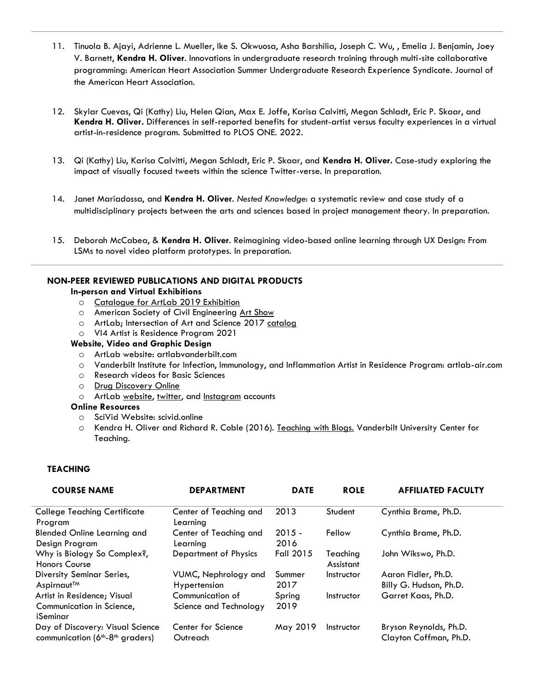- 11. Tinuola B. Ajayi, Adrienne L. Mueller, Ike S. Okwuosa, Asha Barshilia, Joseph C. Wu, , Emelia J. Benjamin, Joey V. Barnett, **Kendra H. Oliver**. Innovations in undergraduate research training through multi-site collaborative programming: American Heart Association Summer Undergraduate Research Experience Syndicate. Journal of the American Heart Association.
- 12. Skylar Cuevas, Qi (Kathy) Liu, Helen Qian, Max E. Joffe, Karisa Calvitti, Megan Schladt, Eric P. Skaar, and **Kendra H. Oliver.** Differences in self-reported benefits for student-artist versus faculty experiences in a virtual artist-in-residence program. Submitted to PLOS ONE. 2022.
- 13. Qi (Kathy) Liu, Karisa Calvitti, Megan Schladt, Eric P. Skaar, and **Kendra H. Oliver.** Case-study exploring the impact of visually focused tweets within the science Twitter-verse. In preparation.
- 14. Janet Mariadossa, and **Kendra H. Oliver**. *Nested Knowledge*: a systematic review and case study of a multidisciplinary projects between the arts and sciences based in project management theory. In preparation.
- 15. Deborah McCabea, & **Kendra H. Oliver**. Reimagining video-based online learning through UX Design: From LSMs to novel video platform prototypes. In preparation.

### **NON-PEER REVIEWED PUBLICATIONS AND DIGITAL PRODUCTS**

#### **In-person and Virtual Exhibitions**

- o [Catalogue for ArtLab 2019 Exhibition](https://artlabvanderbilt.com/)
- o American Society of Civil Engineering [Art Show](https://indd.adobe.com/embed/f285b5cb-5362-43f4-9edc-539d81de83a3?startpage=1&allowFullscreen=true)
- o ArtLab; Intersection of Art and Science 2017 [catalog](https://indd.adobe.com/view/51444518-e1cf-449f-8cf7-5b915c91698f)
- o VI4 Artist is Residence Program 2021

#### **Website, Video and Graphic Design**

- o ArtLab website: artlabvanderbilt.com
- o Vanderbilt Institute for Infection, Immunology, and Inflammation Artist in Residence Program: artlab-air.com
- o Research videos for Basic Sciences
- o [Drug Discovery Online](https://www.vanderbilt.edu/drugdiscovery/)
- o ArtLab [website,](https://artlabvanderbilt.com/) [twitter,](https://twitter.com/ArtLab_Vandy) and [Instagram](https://www.instagram.com/artlab.vanderbilt/) accounts

#### **Online Resources**

- o SciVid Website: scivid.online
- o Kendra H. Oliver and Richard R. Coble (2016). [Teaching with Blogs.](https://cft.vanderbilt.edu/teaching-with-blogs/) Vanderbilt University Center for Teaching.

### **TEACHING**

| <b>COURSE NAME</b>                                                    | <b>DEPARTMENT</b>                          | <b>DATE</b>      | <b>ROLE</b>           | <b>AFFILIATED FACULTY</b>                        |
|-----------------------------------------------------------------------|--------------------------------------------|------------------|-----------------------|--------------------------------------------------|
| <b>College Teaching Certificate</b><br>Program                        | Center of Teaching and<br>Learnina         | 2013             | Student               | Cynthia Brame, Ph.D.                             |
| <b>Blended Online Learning and</b><br>Design Program                  | Center of Teaching and<br>Learnina         | $2015 -$<br>2016 | Fellow                | Cynthia Brame, Ph.D.                             |
| Why is Biology So Complex?,<br><b>Honors Course</b>                   | Department of Physics                      | Fall 2015        | Teaching<br>Assistant | John Wikswo, Ph.D.                               |
| Diversity Seminar Series,<br>Aspirnaut <sup>™</sup>                   | VUMC, Nephrology and<br>Hypertension       | Summer<br>2017   | Instructor            | Aaron Fidler, Ph.D.<br>Billy G. Hudson, Ph.D.    |
| Artist in Residence; Visual<br>Communication in Science,              | Communication of<br>Science and Technology | Spring<br>2019   | Instructor            | Garret Kaas, Ph.D.                               |
| iSeminar                                                              |                                            |                  |                       |                                                  |
| Day of Discovery: Visual Science<br>communication $(6th-8th$ graders) | Center for Science<br>Outreach             | May 2019         | Instructor            | Bryson Reynolds, Ph.D.<br>Clayton Coffman, Ph.D. |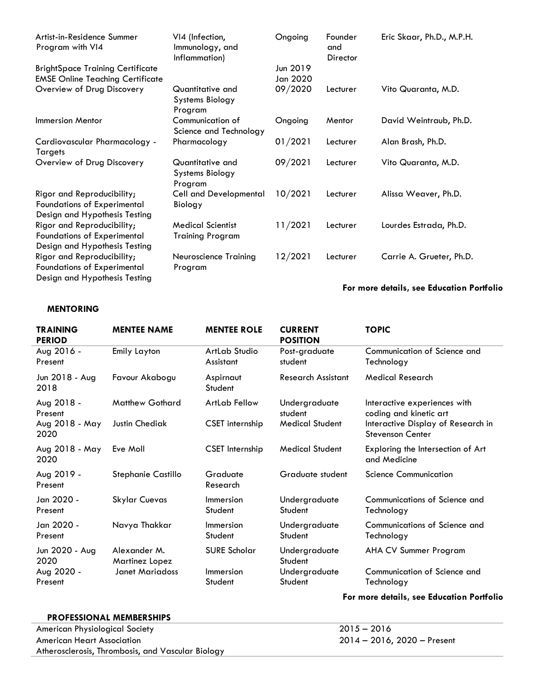| Artist-in-Residence Summer<br>Program with VI4                                                    | VI4 (Infection,<br>Immunology, and<br>Inflammation)   | Ongoing              | Founder<br>and<br>Director | Eric Skaar, Ph.D., M.P.H. |
|---------------------------------------------------------------------------------------------------|-------------------------------------------------------|----------------------|----------------------------|---------------------------|
| <b>BrightSpace Training Certificate</b><br><b>EMSE Online Teaching Certificate</b>                |                                                       | Jun 2019<br>Jan 2020 |                            |                           |
| Overview of Drug Discovery                                                                        | Quantitative and<br>Systems Biology<br>Program        | 09/2020              | Lecturer                   | Vito Quaranta, M.D.       |
| <b>Immersion Mentor</b>                                                                           | Communication of<br>Science and Technology            | Ongoing              | Mentor                     | David Weintraub, Ph.D.    |
| Cardiovascular Pharmacology -<br>Targets                                                          | Pharmacology                                          | 01/2021              | Lecturer                   | Alan Brash, Ph.D.         |
| Overview of Drug Discovery                                                                        | Quantitative and<br><b>Systems Biology</b><br>Program | 09/2021              | Lecturer                   | Vito Quaranta, M.D.       |
| Rigor and Reproducibility;<br>Foundations of Experimental<br>Design and Hypothesis Testing        | <b>Cell and Developmental</b><br>Biology              | 10/2021              | Lecturer                   | Alissa Weaver, Ph.D.      |
| Rigor and Reproducibility;<br><b>Foundations of Experimental</b><br>Design and Hypothesis Testing | <b>Medical Scientist</b><br><b>Training Program</b>   | 11/2021              | Lecturer                   | Lourdes Estrada, Ph.D.    |
| Rigor and Reproducibility;<br><b>Foundations of Experimental</b><br>Design and Hypothesis Testing | Neuroscience Training<br>Program                      | 12/2021              | Lecturer                   | Carrie A. Grueter, Ph.D.  |

## **For more details, see Education Portfolio**

## **MENTORING**

| <b>TRAINING</b><br><b>PERIOD</b>                | <b>MENTEE NAME</b>                                | <b>MENTEE ROLE</b>                          | <b>CURRENT</b><br><b>POSITION</b>                    | <b>TOPIC</b>                                                                                                            |
|-------------------------------------------------|---------------------------------------------------|---------------------------------------------|------------------------------------------------------|-------------------------------------------------------------------------------------------------------------------------|
| Aug 2016 -<br>Present                           | Emily Layton                                      | ArtLab Studio<br>Assistant                  | Post-graduate<br>student                             | Communication of Science and<br>Technology                                                                              |
| Jun 2018 - Aug<br>2018                          | Favour Akabogu                                    | Aspirnaut<br>Student                        | <b>Research Assistant</b>                            | <b>Medical Research</b>                                                                                                 |
| Aug 2018 -<br>Present<br>Aug 2018 - May<br>2020 | <b>Matthew Gothard</b><br>Justin Chediak          | <b>ArtLab Fellow</b><br>CSET internship     | Undergraduate<br>student<br><b>Medical Student</b>   | Interactive experiences with<br>coding and kinetic art<br>Interactive Display of Research in<br><b>Stevenson Center</b> |
| Aug 2018 - May<br>2020                          | Eve Moll                                          | <b>CSET</b> Internship                      | <b>Medical Student</b>                               | Exploring the Intersection of Art<br>and Medicine                                                                       |
| Aug 2019 -<br>Present                           | Stephanie Castillo                                | Graduate<br>Research                        | Graduate student                                     | <b>Science Communication</b>                                                                                            |
| Jan 2020 -<br>Present                           | <b>Skylar Cuevas</b>                              | Immersion<br>Student                        | Undergraduate<br>Student                             | Communications of Science and<br>Technology                                                                             |
| Jan 2020 -<br>Present                           | Navya Thakkar                                     | Immersion<br>Student                        | Undergraduate<br>Student                             | Communications of Science and<br>Technology                                                                             |
| Jun 2020 - Aug<br>2020<br>Aug 2020 -<br>Present | Alexander M.<br>Martinez Lopez<br>Janet Mariadoss | <b>SURE Scholar</b><br>Immersion<br>Student | Undergraduate<br>Student<br>Undergraduate<br>Student | AHA CV Summer Program<br>Communication of Science and<br>Technology                                                     |

# **For more details, see Education Portfolio**

## **PROFESSIONAL MEMBERSHIPS**

American Physiological Society 2015 – 2016 American Heart Association Atherosclerosis, Thrombosis, and Vascular Biology

2014 – 2016, 2020 – Present